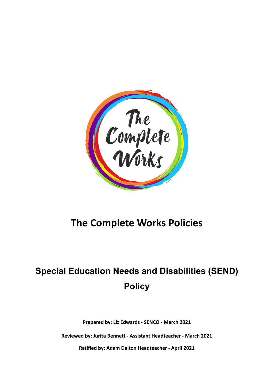

# **The Complete Works Policies**

# **Special Education Needs and Disabilities (SEND) Policy**

**Prepared by: Liz Edwards - SENCO - March 2021**

**Reviewed by: Jurita Bennett - Assistant Headteacher - March 2021**

**Ratified by: Adam Dalton Headteacher - April 2021**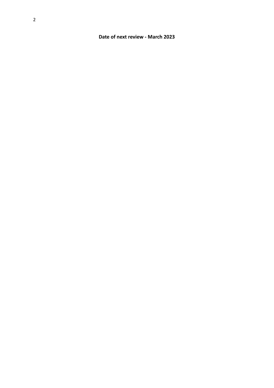# **Date of next review - March 2023**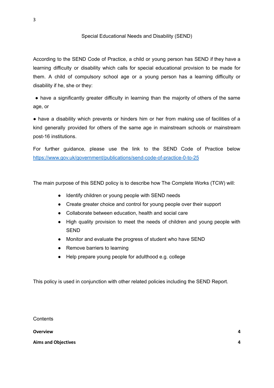### Special Educational Needs and Disability (SEND)

According to the SEND Code of Practice, a child or young person has SEND if they have a learning difficulty or disability which calls for special educational provision to be made for them. A child of compulsory school age or a young person has a learning difficulty or disability if he, she or they:

• have a significantly greater difficulty in learning than the majority of others of the same age, or

● have a disability which prevents or hinders him or her from making use of facilities of a kind generally provided for others of the same age in mainstream schools or mainstream post-16 institutions.

For further guidance, please use the link to the SEND Code of Practice below <https://www.gov.uk/government/publications/send-code-of-practice-0-to-25>

The main purpose of this SEND policy is to describe how The Complete Works (TCW) will:

- Identify children or young people with SEND needs
- Create greater choice and control for young people over their support
- Collaborate between education, health and social care
- High quality provision to meet the needs of children and young people with **SEND**
- Monitor and evaluate the progress of student who have SEND
- Remove barriers to learning
- Help prepare young people for adulthood e.g. college

This policy is used in conjunction with other related policies including the SEND Report.

**Contents** 

**[Overview](#page-4-0) [4](#page-4-0)**

**Aims and [Objectives](#page-4-1) [4](#page-4-1)**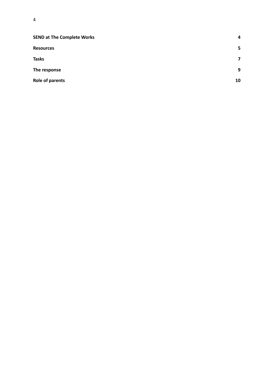| <b>SEND at The Complete Works</b> | 4                       |
|-----------------------------------|-------------------------|
| <b>Resources</b>                  | 5                       |
| <b>Tasks</b>                      | $\overline{\mathbf{z}}$ |
| The response                      | 9                       |
| Role of parents                   | 10                      |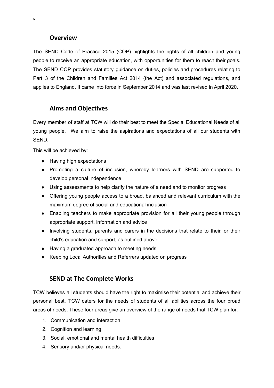# **Overview**

<span id="page-4-0"></span>The SEND Code of Practice 2015 (COP) highlights the rights of all children and young people to receive an appropriate education, with opportunities for them to reach their goals. The SEND COP provides statutory guidance on duties, policies and procedures relating to Part 3 of the Children and Families Act 2014 (the Act) and associated regulations, and applies to England. It came into force in September 2014 and was last revised in April 2020.

# <span id="page-4-1"></span>**Aims and Objectives**

Every member of staff at TCW will do their best to meet the Special Educational Needs of all young people. We aim to raise the aspirations and expectations of all our students with SEND.

This will be achieved by:

- Having high expectations
- Promoting a culture of inclusion, whereby learners with SEND are supported to develop personal independence
- Using assessments to help clarify the nature of a need and to monitor progress
- Offering young people access to a broad, balanced and relevant curriculum with the maximum degree of social and educational inclusion
- Enabling teachers to make appropriate provision for all their young people through appropriate support, information and advice
- Involving students, parents and carers in the decisions that relate to their, or their child's education and support, as outlined above.
- Having a graduated approach to meeting needs
- <span id="page-4-2"></span>● Keeping Local Authorities and Referrers updated on progress

# **SEND at The Complete Works**

TCW believes all students should have the right to maximise their potential and achieve their personal best. TCW caters for the needs of students of all abilities across the four broad areas of needs. These four areas give an overview of the range of needs that TCW plan for:

- 1. Communication and interaction
- 2. Cognition and learning
- 3. Social, emotional and mental health difficulties
- 4. Sensory and/or physical needs.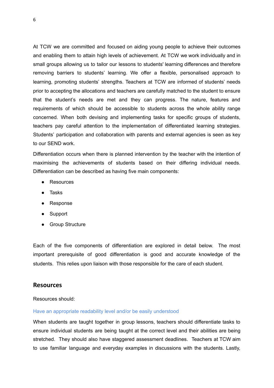At TCW we are committed and focused on aiding young people to achieve their outcomes and enabling them to attain high levels of achievement. At TCW we work individually and in small groups allowing us to tailor our lessons to students' learning differences and therefore removing barriers to students' learning. We offer a flexible, personalised approach to learning, promoting students' strengths. Teachers at TCW are informed of students' needs prior to accepting the allocations and teachers are carefully matched to the student to ensure that the student's needs are met and they can progress. The nature, features and requirements of which should be accessible to students across the whole ability range concerned. When both devising and implementing tasks for specific groups of students, teachers pay careful attention to the implementation of differentiated learning strategies. Students' participation and collaboration with parents and external agencies is seen as key to our SEND work.

Differentiation occurs when there is planned intervention by the teacher with the intention of maximising the achievements of students based on their differing individual needs. Differentiation can be described as having five main components:

- Resources
- Tasks
- Response
- Support
- Group Structure

Each of the five components of differentiation are explored in detail below. The most important prerequisite of good differentiation is good and accurate knowledge of the students. This relies upon liaison with those responsible for the care of each student.

# <span id="page-5-0"></span>**Resources**

#### Resources should:

#### Have an appropriate readability level and/or be easily understood

When students are taught together in group lessons, teachers should differentiate tasks to ensure individual students are being taught at the correct level and their abilities are being stretched. They should also have staggered assessment deadlines. Teachers at TCW aim to use familiar language and everyday examples in discussions with the students. Lastly,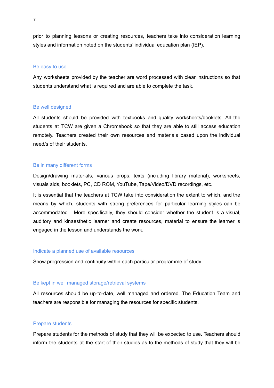prior to planning lessons or creating resources, teachers take into consideration learning styles and information noted on the students' individual education plan (IEP).

#### Be easy to use

Any worksheets provided by the teacher are word processed with clear instructions so that students understand what is required and are able to complete the task.

#### Be well designed

All students should be provided with textbooks and quality worksheets/booklets. All the students at TCW are given a Chromebook so that they are able to still access education remotely. Teachers created their own resources and materials based upon the individual need/s of their students.

#### Be in many different forms

Design/drawing materials, various props, texts (including library material), worksheets, visuals aids, booklets, PC, CD ROM, YouTube, Tape/Video/DVD recordings, etc.

It is essential that the teachers at TCW take into consideration the extent to which, and the means by which, students with strong preferences for particular learning styles can be accommodated. More specifically, they should consider whether the student is a visual, auditory and kinaesthetic learner and create resources, material to ensure the learner is engaged in the lesson and understands the work.

### Indicate a planned use of available resources

Show progression and continuity within each particular programme of study.

#### Be kept in well managed storage/retrieval systems

All resources should be up-to-date, well managed and ordered. The Education Team and teachers are responsible for managing the resources for specific students.

#### Prepare students

Prepare students for the methods of study that they will be expected to use. Teachers should inform the students at the start of their studies as to the methods of study that they will be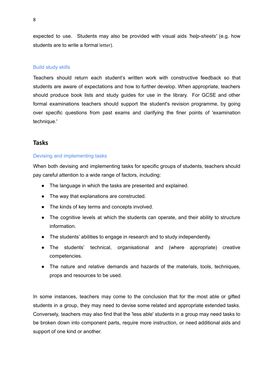expected to use. Students may also be provided with visual aids *'help-sheets'* (e.g. how students are to write a formal letter).

#### Build study skills

Teachers should return each student's written work with constructive feedback so that students are aware of expectations and how to further develop. When appropriate, teachers should produce book lists and study guides for use in the library. For GCSE and other formal examinations teachers should support the student's revision programme, by going over specific questions from past exams and clarifying the finer points of 'examination technique.'

# <span id="page-7-0"></span>**Tasks**

## Devising and implementing tasks

When both devising and implementing tasks for specific groups of students, teachers should pay careful attention to a wide range of factors, including:

- The language in which the tasks are presented and explained.
- The way that explanations are constructed.
- The kinds of key terms and concepts involved.
- The cognitive levels at which the students can operate, and their ability to structure information.
- The students' abilities to engage in research and to study independently.
- The students' technical, organisational and (where appropriate) creative competencies.
- The nature and relative demands and hazards of the materials, tools, techniques, props and resources to be used.

In some instances, teachers may come to the conclusion that for the most able or gifted students in a group, they may need to devise some related and appropriate extended tasks. Conversely, teachers may also find that the 'less able' students in a group may need tasks to be broken down into component parts, require more instruction, or need additional aids and support of one kind or another.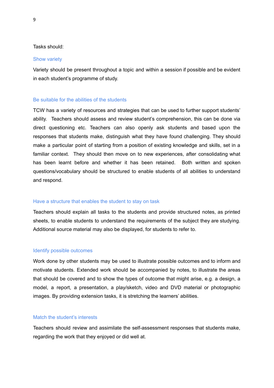#### Tasks should:

#### Show variety

Variety should be present throughout a topic and within a session if possible and be evident in each student's programme of study.

#### Be suitable for the abilities of the students

TCW has a variety of resources and strategies that can be used to further support students' ability. Teachers should assess and review student's comprehension, this can be done via direct questioning etc. Teachers can also openly ask students and based upon the responses that students make, distinguish what they have found challenging. They should make a particular point of starting from a position of existing knowledge and skills, set in a familiar context. They should then move on to new experiences, after consolidating what has been learnt before and whether it has been retained. Both written and spoken questions/vocabulary should be structured to enable students of all abilities to understand and respond.

#### Have a structure that enables the student to stay on task

Teachers should explain all tasks to the students and provide structured notes, as printed sheets, to enable students to understand the requirements of the subject they are studying. Additional source material may also be displayed, for students to refer to.

#### Identify possible outcomes

Work done by other students may be used to illustrate possible outcomes and to inform and motivate students. Extended work should be accompanied by notes, to illustrate the areas that should be covered and to show the types of outcome that might arise, e.g. a design, a model, a report, a presentation, a play/sketch, video and DVD material or photographic images. By providing extension tasks, it is stretching the learners' abilities.

## Match the student's interests

Teachers should review and assimilate the self-assessment responses that students make, regarding the work that they enjoyed or did well at.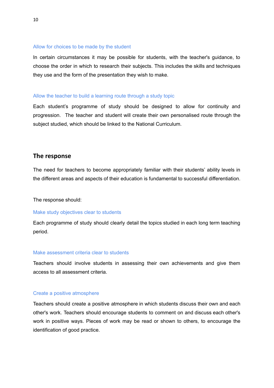#### Allow for choices to be made by the student

In certain circumstances it may be possible for students, with the teacher's guidance, to choose the order in which to research their subjects. This includes the skills and techniques they use and the form of the presentation they wish to make.

### Allow the teacher to build a learning route through a study topic

Each student's programme of study should be designed to allow for continuity and progression. The teacher and student will create their own personalised route through the subject studied, which should be linked to the National Curriculum.

## <span id="page-9-0"></span>**The response**

The need for teachers to become appropriately familiar with their students' ability levels in the different areas and aspects of their education is fundamental to successful differentiation.

The response should:

#### Make study objectives clear to students

Each programme of study should clearly detail the topics studied in each long term teaching period.

#### Make assessment criteria clear to students

Teachers should involve students in assessing their own achievements and give them access to all assessment criteria.

#### Create a positive atmosphere

Teachers should create a positive atmosphere in which students discuss their own and each other's work. Teachers should encourage students to comment on and discuss each other's work in positive ways. Pieces of work may be read or shown to others, to encourage the identification of good practice.